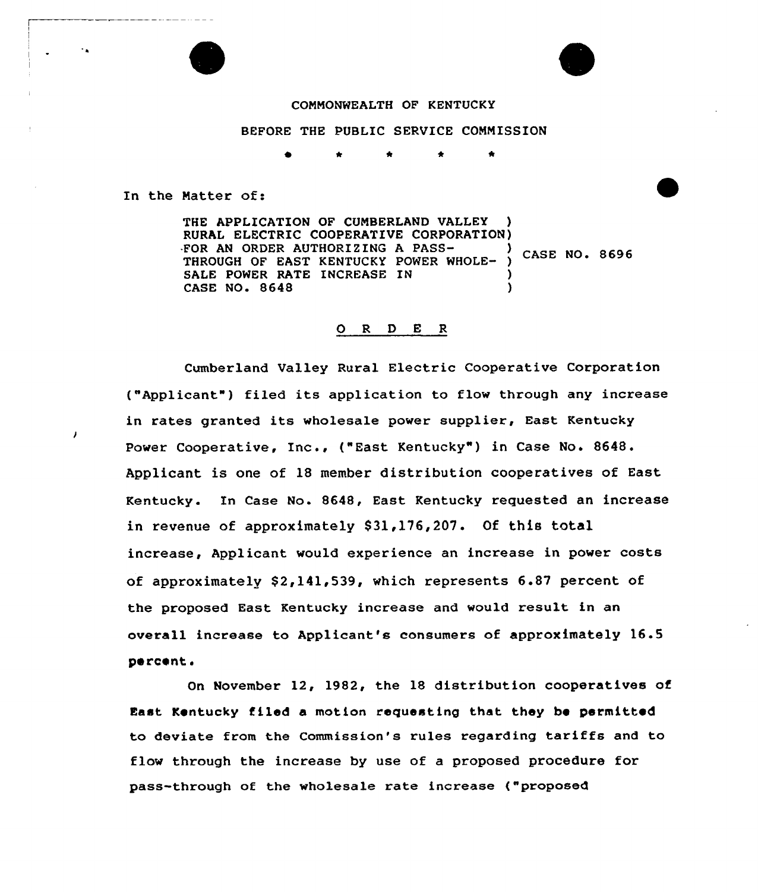

#### COMMONWEALTH OF KENTUCKY

### BEFORE THE PUBLIC SERVICE COMMISSION

\* \* \* \*

In the Matter of:

THE APPLICATION OF CUMBERLAND VALLEY RURAL ELECTRIC COOPERATIVE CORPORATION)<br>FOR AN ORDER AUTHORIZING A PASS-FOR AN ORDER AUTHORIZING A PASS-<br>THROUGH OF EAST KENTUCKY POWER WHOLE- ) CASE NO. 8696 SALE POWER RATE INCREASE IN (2) CASE NO. 8648 )

### O R D E R

Cumberland Valley Rural Electric Cooperative Corporation ("Applicant") filed its application to flow through any increase in rates granted its wholesale power supplier, East Kentucky Power Cooperative, Inc., ("East Kentucky" ) in Case No. 8648. Applicant is one of 18 member distribution cooperatives of East Kentucky. In Case No. 8648, East Kentucky requested an increase in revenue of approximately 831,176,207. Of this total increase, Applicant would experience an increase in power costs of approximately  $$2,141,539$ , which represents 6.87 percent of the proposed East Kentucky increase and would result in an overall increase to Applicant's consumers of approximately 16.5 percent.

On November 12, 1982, the 18 distribution cooperatives of East Kentucky filed a motion requesting that they be permitted to deviate from the Commission's rules regarding tariffs and to flow through the increase by use of a proposed procedure for pass-through of the wholesale rate increase ("proposed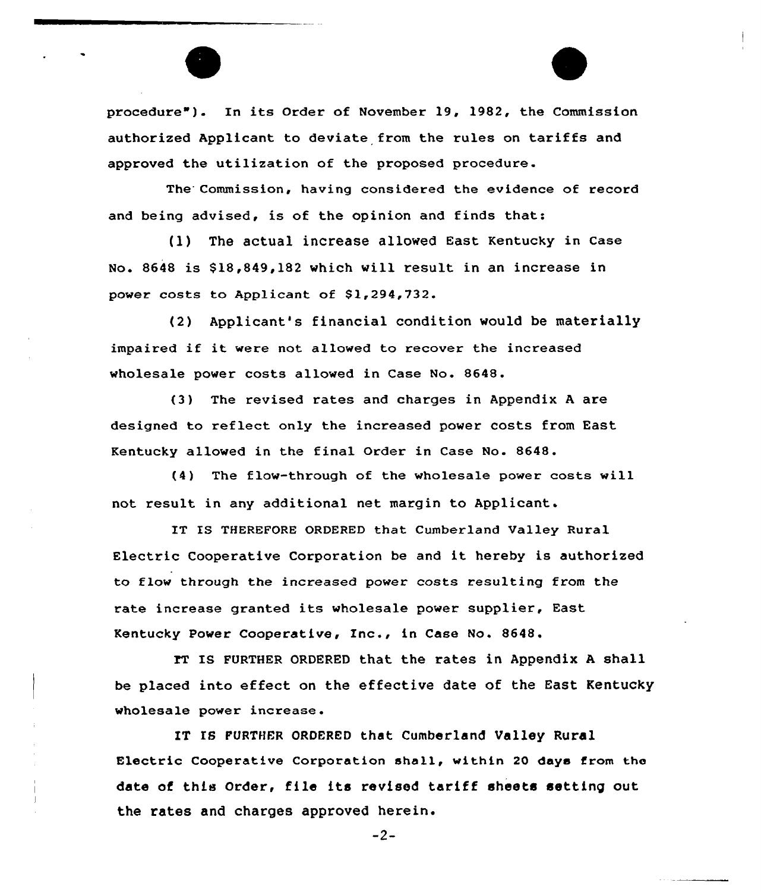procedure"). In its Order of November 19, 1982, the Commission authorized Applicant to deviate from the rules on tariffs and approved the utilization of the proposed procedure.

The Commission, having considered the evidence of record and being advised, is of the opinion and finds that:

{l) The actual increase allowed East Kentucky in case No. 8648 is \$ 18,849,182 which will result in an increase in power costs to Applicant of  $$1,294,732$ .

(2) Applicant's financial condition would be materially impaired if it were not allowed to recover the increased wholesale power costs allowed in Case No. 8648.

(3) The revised rates and charges in Appendix <sup>A</sup> are designed to reflect only the increased power costs from East Kentucky allowed in the final Order in Case No. 8648.

(4) The flow-through of the wholesale power costs will not result in any additional net margin to Applicant.

IT IS THEREFORE ORDERED that Cumberland Valley Rural Electric Cooperative Corporation be and it hereby is authorized to flow through the increased power costs resulting from the rate increase granted its wholesale power supplier, East Kentucky Power Cooperative, Inc., in Case No. 8648.

IT IS FURTHER ORDERED that the rates in Appendix A shall be placed into effect on the effective date of the East Kentucky wholesale power increase.

IT IS FURTHER ORDERED that Cumberland Valley Rural Electric Cooperative Corporation shall, within 20 days from the date of this Order, file its revised tariff sheets setting out the rates and charges approved herein.

-2-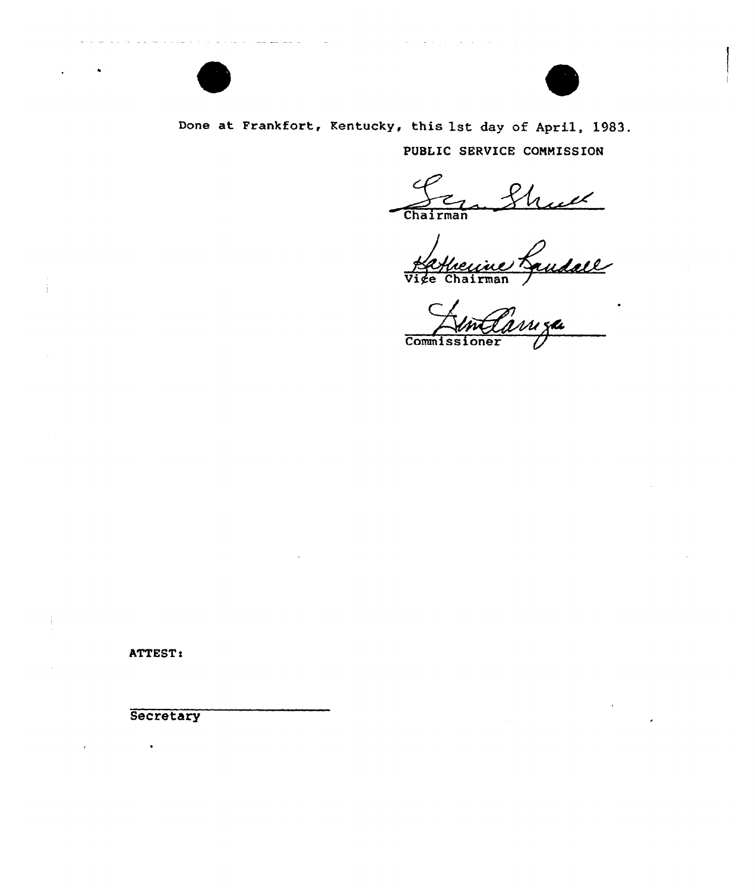



Done at Frankfort, Kentucky, this 1st day of April, 1983. PUBLIC SERVICE COMMISSION

Chairma

Vige Chairman

Commissione

ATTEST:

**Secretary**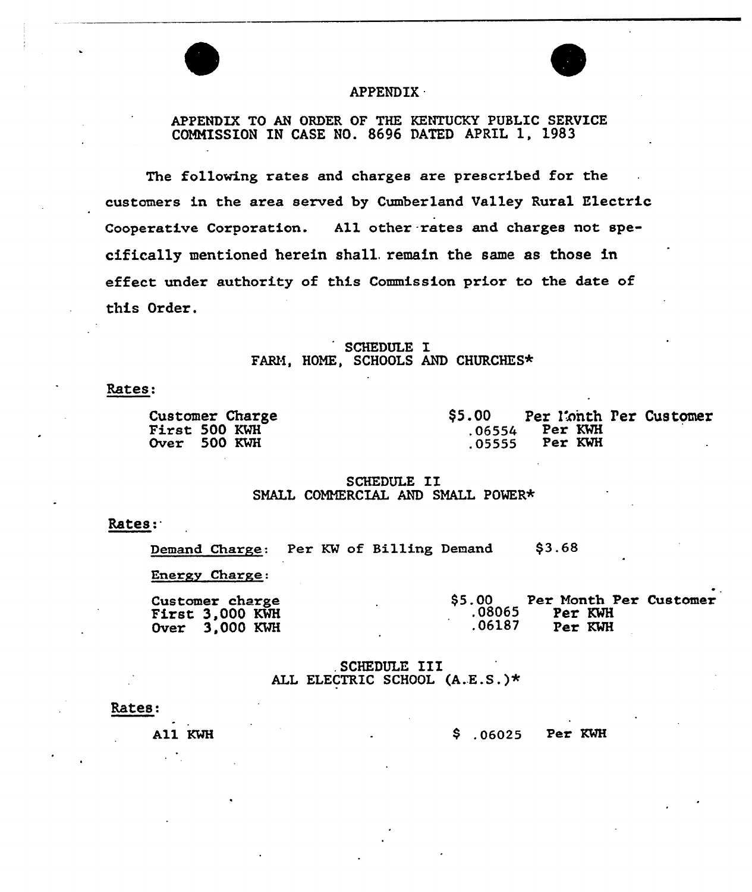

## APPENDIX .

# APPENDIX TO AN ORDER OF THE KENTUCKY PUBLIC SERVICE COMMISSION IN CASE NO. 8696 DATED APRIL 1, 1983

The following rates and charges are prescribed for the customers in the area served by Cumberland Valley Rural Electric Cooperative Corporation. All other rates and charges not specifically mentioned herein shall. remain the same as those in effect under authority of this Commission prior to the date of this Order.

SCHEDULE I<br>FARM, HOME, SCHOOLS A FAKf, HOME, SCHOOLS AND CHURCHES\*

Rates:

Customer Charge First <sup>500</sup> KNi Over 500 KWH

\$5.00 Per l'onth Per Customer<br>.06554 Per KWH Per KVH .05555 Per KWH

 $\bullet$ 

### SCHEDULE II SMALL COMMERCIAL AND SMALL POWER\*

### Rates:.

Demand Charge: Per KW of Billing Demand \$3.6S

Energy Charge:

| Customer charge |  | <b>S5.00</b> |         | Per Month Per Customer |
|-----------------|--|--------------|---------|------------------------|
| First 3,000 KWH |  | .08065       | Per KWH |                        |
| Over 3.000 KWH  |  | .06187       | Per KWH |                        |

. SCHEDULE III ALL ELECTRIC SCHOOL (A.E.S.)\*

#### Rates:

All KWH

06025 Per KMH